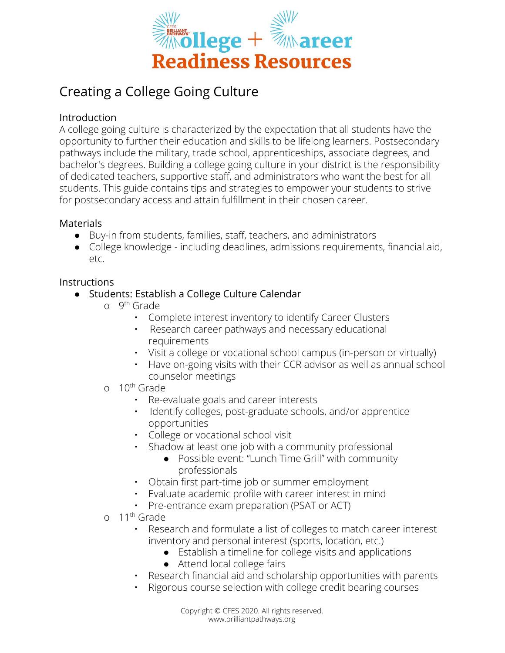

# Creating a College Going Culture

## Introduction

A college going culture is characterized by the expectation that all students have the opportunity to further their education and skills to be lifelong learners. Postsecondary pathways include the military, trade school, apprenticeships, associate degrees, and bachelor's degrees. Building a college going culture in your district is the responsibility of dedicated teachers, supportive staff, and administrators who want the best for all students. This guide contains tips and strategies to empower your students to strive for postsecondary access and attain fulfillment in their chosen career.

## Materials

- Buy-in from students, families, staff, teachers, and administrators
- College knowledge including deadlines, admissions requirements, financial aid, etc.

# **Instructions**

- Students: Establish a College Culture Calendar
	- o 9<sup>th</sup> Grade
		- Complete interest inventory to identify Career Clusters
		- Research career pathways and necessary educational requirements
		- Visit a college or vocational school campus (in-person or virtually)
		- Have on-going visits with their CCR advisor as well as annual school counselor meetings
	- o 10<sup>th</sup> Grade
		- Re-evaluate goals and career interests
		- Identify colleges, post-graduate schools, and/or apprentice opportunities
		- College or vocational school visit
			- Shadow at least one job with a community professional
				- Possible event: "Lunch Time Grill" with community professionals
		- Obtain first part-time job or summer employment
		- Evaluate academic profile with career interest in mind
		- Pre-entrance exam preparation (PSAT or ACT)
	- o 11<sup>th</sup> Grade
		- Research and formulate a list of colleges to match career interest inventory and personal interest (sports, location, etc.)
			- Establish a timeline for college visits and applications
			- Attend local college fairs
		- Research financial aid and scholarship opportunities with parents
		- Rigorous course selection with college credit bearing courses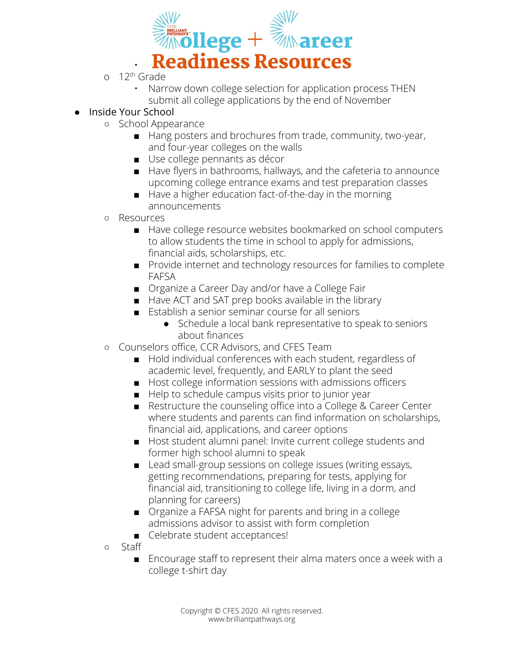

- o 12<sup>th</sup> Grade
	- Narrow down college selection for application process THEN submit all college applications by the end of November

# ● Inside Your School

- School Appearance
	- Hang posters and brochures from trade, community, two-year, and four-year colleges on the walls
	- Use college pennants as décor
	- Have flyers in bathrooms, hallways, and the cafeteria to announce upcoming college entrance exams and test preparation classes
	- Have a higher education fact-of-the-day in the morning announcements
- Resources
	- Have college resource websites bookmarked on school computers to allow students the time in school to apply for admissions, financial aids, scholarships, etc.
	- Provide internet and technology resources for families to complete FAFSA
	- Organize a Career Day and/or have a College Fair
	- Have ACT and SAT prep books available in the library
	- Establish a senior seminar course for all seniors
		- Schedule a local bank representative to speak to seniors about finances
- Counselors office, CCR Advisors, and CFES Team
	- Hold individual conferences with each student, regardless of academic level, frequently, and EARLY to plant the seed
	- Host college information sessions with admissions officers
	- Help to schedule campus visits prior to junior year
	- Restructure the counseling office into a College & Career Center where students and parents can find information on scholarships, financial aid, applications, and career options
	- Host student alumni panel: Invite current college students and former high school alumni to speak
	- Lead small-group sessions on college issues (writing essays, getting recommendations, preparing for tests, applying for financial aid, transitioning to college life, living in a dorm, and planning for careers)
	- Organize a FAFSA night for parents and bring in a college admissions advisor to assist with form completion
	- Celebrate student acceptances!
- Staff
	- Encourage staff to represent their alma maters once a week with a college t-shirt day